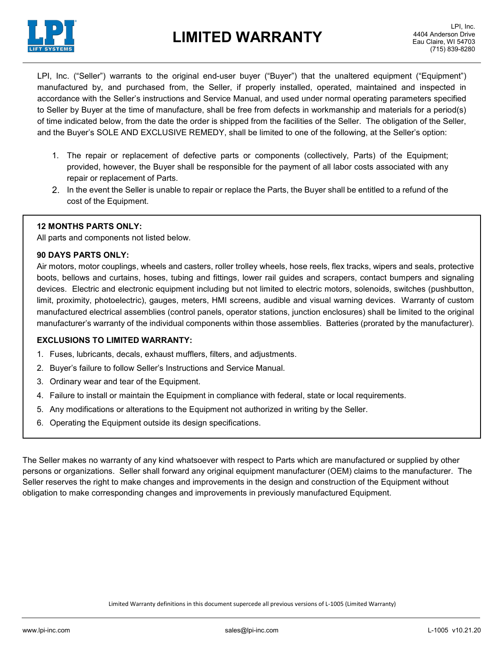

LPI, Inc. ("Seller") warrants to the original end-user buyer ("Buyer") that the unaltered equipment ("Equipment") manufactured by, and purchased from, the Seller, if properly installed, operated, maintained and inspected in accordance with the Seller's instructions and Service Manual, and used under normal operating parameters specified to Seller by Buyer at the time of manufacture, shall be free from defects in workmanship and materials for a period(s) of time indicated below, from the date the order is shipped from the facilities of the Seller. The obligation of the Seller, and the Buyer's SOLE AND EXCLUSIVE REMEDY, shall be limited to one of the following, at the Seller's option:

- 1. The repair or replacement of defective parts or components (collectively, Parts) of the Equipment; provided, however, the Buyer shall be responsible for the payment of all labor costs associated with any repair or replacement of Parts.
- 2. In the event the Seller is unable to repair or replace the Parts, the Buyer shall be entitled to a refund of the cost of the Equipment.

### **12 MONTHS PARTS ONLY:**

All parts and components not listed below.

### **90 DAYS PARTS ONLY:**

Air motors, motor couplings, wheels and casters, roller trolley wheels, hose reels, flex tracks, wipers and seals, protective boots, bellows and curtains, hoses, tubing and fittings, lower rail guides and scrapers, contact bumpers and signaling devices. Electric and electronic equipment including but not limited to electric motors, solenoids, switches (pushbutton, limit, proximity, photoelectric), gauges, meters, HMI screens, audible and visual warning devices. Warranty of custom manufactured electrical assemblies (control panels, operator stations, junction enclosures) shall be limited to the original manufacturer's warranty of the individual components within those assemblies. Batteries (prorated by the manufacturer).

### **EXCLUSIONS TO LIMITED WARRANTY:**

- 1. Fuses, lubricants, decals, exhaust mufflers, filters, and adjustments.
- 2. Buyer's failure to follow Seller's Instructions and Service Manual.
- 3. Ordinary wear and tear of the Equipment.
- 4. Failure to install or maintain the Equipment in compliance with federal, state or local requirements.
- 5. Any modifications or alterations to the Equipment not authorized in writing by the Seller.
- 6. Operating the Equipment outside its design specifications.

The Seller makes no warranty of any kind whatsoever with respect to Parts which are manufactured or supplied by other persons or organizations. Seller shall forward any original equipment manufacturer (OEM) claims to the manufacturer. The Seller reserves the right to make changes and improvements in the design and construction of the Equipment without obligation to make corresponding changes and improvements in previously manufactured Equipment.

Limited Warranty definitions in this document supercede all previous versions of L-1005 (Limited Warranty)